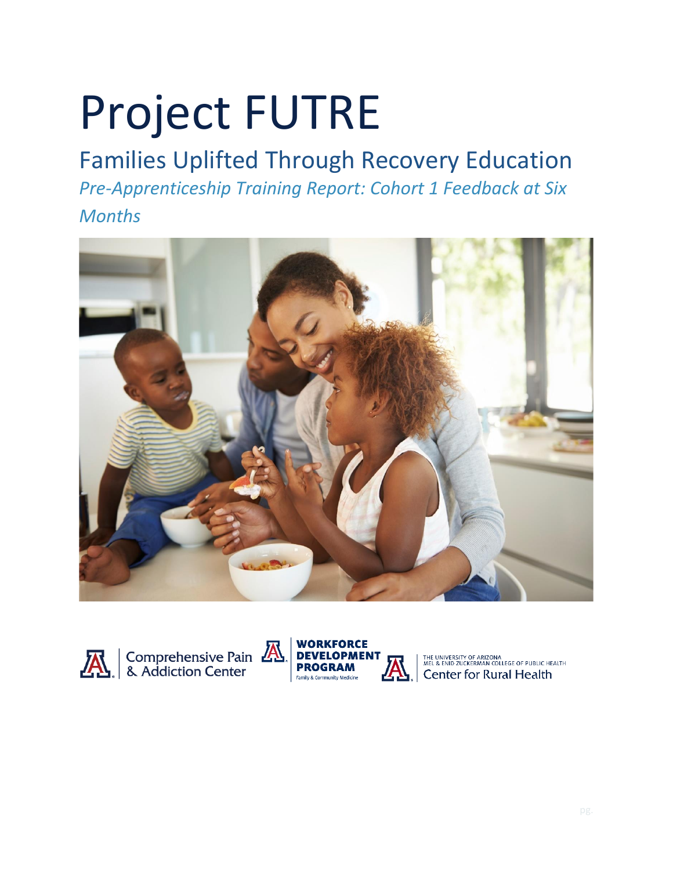# Project FUTRE

Families Uplifted Through Recovery Education *Pre-Apprenticeship Training Report: Cohort 1 Feedback at Six Months*





THE UNIVERSITY OF ARIZONALEGE OF PUBLIC HEALTH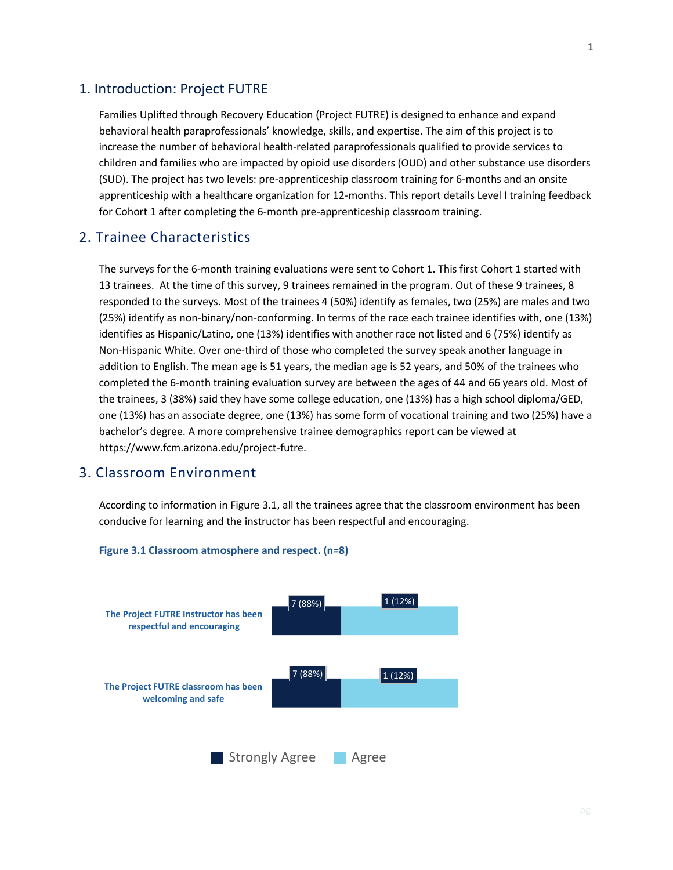#### 1. Introduction: Project FUTRE

Families Uplifted through Recovery Education (Project FUTRE) is designed to enhance and expand behavioral health paraprofessionals' knowledge, skills, and expertise. The aim of this project is to increase the number of behavioral health-related paraprofessionals qualified to provide services to children and families who are impacted by opioid use disorders (OUD) and other substance use disorders (SUD). The project has two levels: pre-apprenticeship classroom training for 6-months and an onsite apprenticeship with a healthcare organization for 12-months. This report details Level I training feedback for Cohort 1 after completing the 6-month pre-apprenticeship classroom training.

# 2. Trainee Characteristics

The surveys for the 6-month training evaluations were sent to Cohort 1. This first Cohort 1 started with 13 trainees. At the time of this survey, 9 trainees remained in the program. Out of these 9 trainees, 8 responded to the surveys. Most of the trainees 4 (50%) identify as females, two (25%) are males and two (25%) identify as non-binary/non-conforming. In terms of the race each trainee identifies with, one (13%) identifies as Hispanic/Latino, one (13%) identifies with another race not listed and 6 (75%) identify as Non-Hispanic White. Over one-third of those who completed the survey speak another language in addition to English. The mean age is 51 years, the median age is 52 years, and 50% of the trainees who completed the 6-month training evaluation survey are between the ages of 44 and 66 years old. Most of the trainees, 3 (38%) said they have some college education, one (13%) has a high school diploma/GED, one (13%) has an associate degree, one (13%) has some form of vocational training and two (25%) have a bachelor's degree. A more comprehensive trainee demographics report can be viewed at [https://www.fcm.arizona.edu/project-futre.](https://www.fcm.arizona.edu/workforce-development-program/project-futre)

#### 3. Classroom Environment

According to information in Figure 3.1, all the trainees agree that the classroom environment has been conducive for learning and the instructor has been respectful and encouraging.



#### **Figure 3.1 Classroom atmosphere and respect. (n=8)**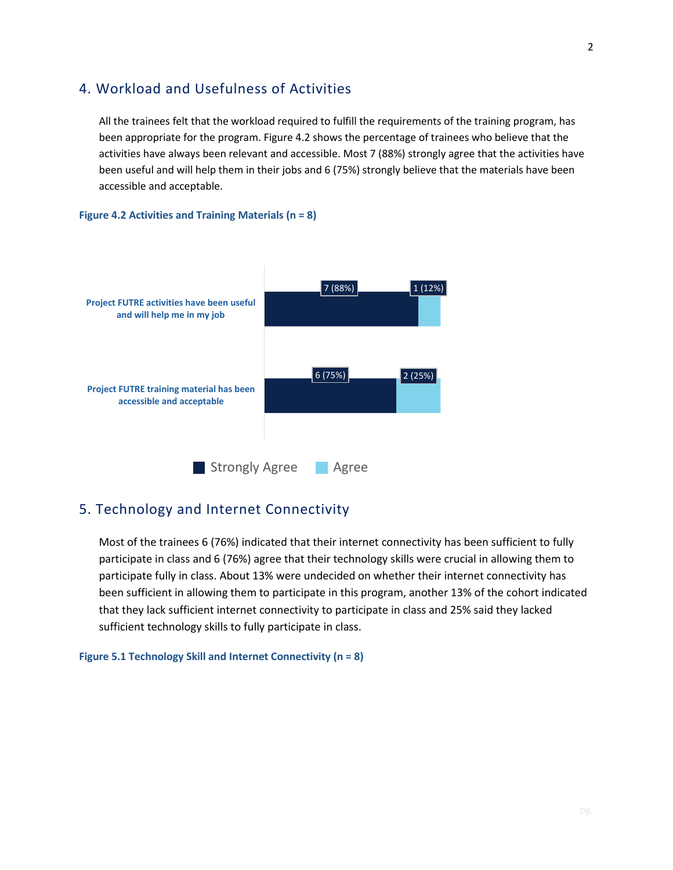## 4. Workload and Usefulness of Activities

All the trainees felt that the workload required to fulfill the requirements of the training program, has been appropriate for the program. Figure 4.2 shows the percentage of trainees who believe that the activities have always been relevant and accessible. Most 7 (88%) strongly agree that the activities have been useful and will help them in their jobs and 6 (75%) strongly believe that the materials have been accessible and acceptable.

#### **Figure 4.2 Activities and Training Materials (n = 8)**



## 5. Technology and Internet Connectivity

Most of the trainees 6 (76%) indicated that their internet connectivity has been sufficient to fully participate in class and 6 (76%) agree that their technology skills were crucial in allowing them to participate fully in class. About 13% were undecided on whether their internet connectivity has been sufficient in allowing them to participate in this program, another 13% of the cohort indicated that they lack sufficient internet connectivity to participate in class and 25% said they lacked sufficient technology skills to fully participate in class.

**Figure 5.1 Technology Skill and Internet Connectivity (n = 8)**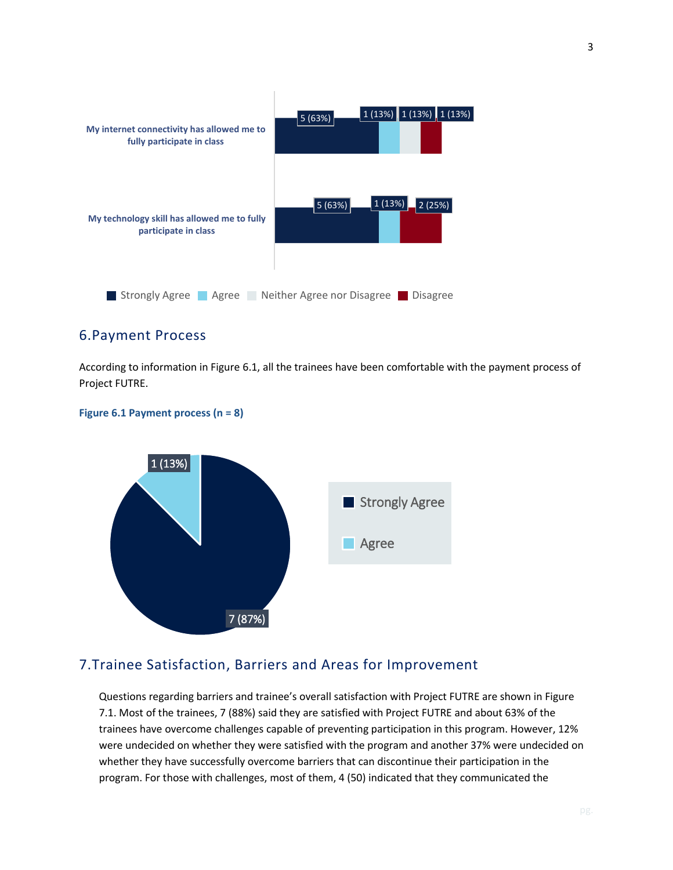

## 6.Payment Process

According to information in Figure 6.1, all the trainees have been comfortable with the payment process of Project FUTRE.

#### **Figure 6.1 Payment process (n = 8)**



## 7.Trainee Satisfaction, Barriers and Areas for Improvement

Questions regarding barriers and trainee's overall satisfaction with Project FUTRE are shown in Figure 7.1. Most of the trainees, 7 (88%) said they are satisfied with Project FUTRE and about 63% of the trainees have overcome challenges capable of preventing participation in this program. However, 12% were undecided on whether they were satisfied with the program and another 37% were undecided on whether they have successfully overcome barriers that can discontinue their participation in the program. For those with challenges, most of them, 4 (50) indicated that they communicated the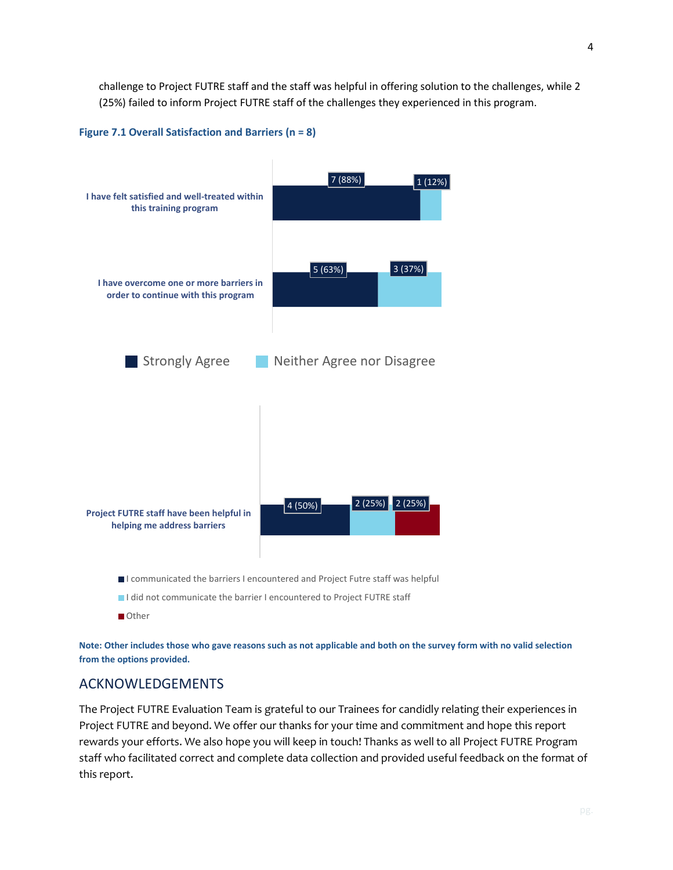challenge to Project FUTRE staff and the staff was helpful in offering solution to the challenges, while 2 (25%) failed to inform Project FUTRE staff of the challenges they experienced in this program.

#### **Figure 7.1 Overall Satisfaction and Barriers (n = 8)**



Other

**Note: Other includes those who gave reasons such as not applicable and both on the survey form with no valid selection from the options provided.**

### ACKNOWLEDGEMENTS

The Project FUTRE Evaluation Team is grateful to our Trainees for candidly relating their experiences in Project FUTRE and beyond. We offer our thanks for your time and commitment and hope this report rewards your efforts. We also hope you will keep in touch! Thanks as well to all Project FUTRE Program staff who facilitated correct and complete data collection and provided useful feedback on the format of this report.